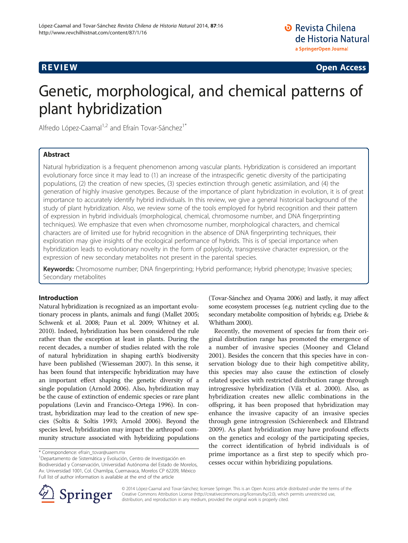**REVIEW CONTROL** REVIEW CONTROL CONTROL CONTROL CONTROL CONTROL CONTROL CONTROL CONTROL CONTROL CONTROL CONTROL CONTROL CONTROL CONTROL CONTROL CONTROL CONTROL CONTROL CONTROL CONTROL CONTROL CONTROL CONTROL CONTROL CONTRO

# Genetic, morphological, and chemical patterns of plant hybridization

Alfredo López-Caamal<sup>1,2</sup> and Efraín Tovar-Sánchez<sup>1\*</sup>

# Abstract

Natural hybridization is a frequent phenomenon among vascular plants. Hybridization is considered an important evolutionary force since it may lead to (1) an increase of the intraspecific genetic diversity of the participating populations, (2) the creation of new species, (3) species extinction through genetic assimilation, and (4) the generation of highly invasive genotypes. Because of the importance of plant hybridization in evolution, it is of great importance to accurately identify hybrid individuals. In this review, we give a general historical background of the study of plant hybridization. Also, we review some of the tools employed for hybrid recognition and their pattern of expression in hybrid individuals (morphological, chemical, chromosome number, and DNA fingerprinting techniques). We emphasize that even when chromosome number, morphological characters, and chemical characters are of limited use for hybrid recognition in the absence of DNA fingerprinting techniques, their exploration may give insights of the ecological performance of hybrids. This is of special importance when hybridization leads to evolutionary novelty in the form of polyploidy, transgressive character expression, or the expression of new secondary metabolites not present in the parental species.

Keywords: Chromosome number; DNA fingerprinting; Hybrid performance; Hybrid phenotype; Invasive species; Secondary metabolites

# Introduction

Natural hybridization is recognized as an important evolutionary process in plants, animals and fungi (Mallet [2005](#page-12-0); Schwenk et al. [2008](#page-13-0); Paun et al. [2009](#page-12-0); Whitney et al. [2010\)](#page-13-0). Indeed, hybridization has been considered the rule rather than the exception at least in plants. During the recent decades, a number of studies related with the role of natural hybridization in shaping earth's biodiversity have been published (Wiesseman [2007](#page-13-0)). In this sense, it has been found that interspecific hybridization may have an important effect shaping the genetic diversity of a single population (Arnold [2006\)](#page-11-0). Also, hybridization may be the cause of extinction of endemic species or rare plant populations (Levin and Francisco-Ortega [1996\)](#page-12-0). In contrast, hybridization may lead to the creation of new species (Soltis & Soltis [1993](#page-13-0); Arnold [2006](#page-11-0)). Beyond the species level, hybridization may impact the arthropod community structure associated with hybridizing populations

(Tovar-Sánchez and Oyama [2006](#page-13-0)) and lastly, it may affect some ecosystem processes (e.g. nutrient cycling due to the secondary metabolite composition of hybrids; e.g. Driebe & Whitham [2000\)](#page-11-0).

Recently, the movement of species far from their original distribution range has promoted the emergence of a number of invasive species (Mooney and Cleland [2001](#page-12-0)). Besides the concern that this species have in conservation biology due to their high competitive ability, this species may also cause the extinction of closely related species with restricted distribution range through introgressive hybridization (Vilà et al. [2000\)](#page-13-0). Also, as hybridization creates new allelic combinations in the offspring, it has been proposed that hybridization may enhance the invasive capacity of an invasive species through gene introgression (Schierenbeck and Ellstrand [2009](#page-13-0)). As plant hybridization may have profound effects on the genetics and ecology of the participating species, the correct identification of hybrid individuals is of prime importance as a first step to specify which processes occur within hybridizing populations.



© 2014 López-Caamal and Tovar-Sánchez; licensee Springer. This is an Open Access article distributed under the terms of the Creative Commons Attribution License [\(http://creativecommons.org/licenses/by/2.0\)](http://creativecommons.org/licenses/by/2.0), which permits unrestricted use, distribution, and reproduction in any medium, provided the original work is properly cited.

<sup>\*</sup> Correspondence: [efrain\\_tovar@uaem.mx](mailto:efrain_tovar@uaem.mx) <sup>1</sup>

Departamento de Sistemática y Evolución, Centro de Investigación en Biodiversidad y Conservación, Universidad Autónoma del Estado de Morelos, Av. Universidad 1001, Col. Chamilpa, Cuernavaca, Morelos CP 62209, México Full list of author information is available at the end of the article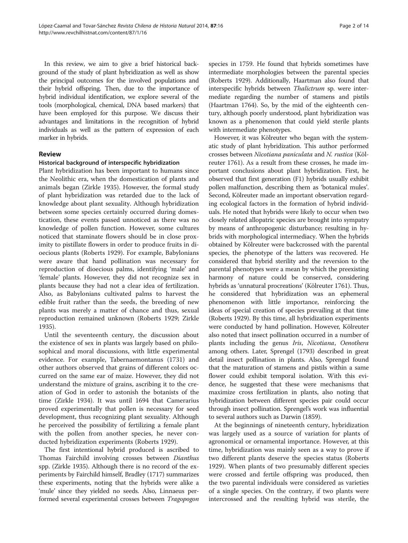In this review, we aim to give a brief historical background of the study of plant hybridization as well as show the principal outcomes for the involved populations and their hybrid offspring. Then, due to the importance of hybrid individual identification, we explore several of the tools (morphological, chemical, DNA based markers) that have been employed for this purpose. We discuss their advantages and limitations in the recognition of hybrid individuals as well as the pattern of expression of each marker in hybrids.

### Review

### Historical background of interspecific hybridization

Plant hybridization has been important to humans since the Neolithic era, when the domestication of plants and animals began (Zirkle [1935](#page-13-0)). However, the formal study of plant hybridization was retarded due to the lack of knowledge about plant sexuality. Although hybridization between some species certainly occurred during domestication, these events passed unnoticed as there was no knowledge of pollen function. However, some cultures noticed that staminate flowers should be in close proximity to pistillate flowers in order to produce fruits in dioecious plants (Roberts [1929](#page-13-0)). For example, Babylonians were aware that hand pollination was necessary for reproduction of dioecious palms, identifying 'male' and 'female' plants. However, they did not recognize sex in plants because they had not a clear idea of fertilization. Also, as Babylonians cultivated palms to harvest the edible fruit rather than the seeds, the breeding of new plants was merely a matter of chance and thus, sexual reproduction remained unknown (Roberts [1929](#page-13-0); Zirkle [1935](#page-13-0)).

Until the seventeenth century, the discussion about the existence of sex in plants was largely based on philosophical and moral discussions, with little experimental evidence. For example, Tabernaemontanus [\(1731\)](#page-13-0) and other authors observed that grains of different colors occurred on the same ear of maize. However, they did not understand the mixture of grains, ascribing it to the creation of God in order to astonish the botanists of the time (Zirkle [1934\)](#page-13-0). It was until 1694 that Camerarius proved experimentally that pollen is necessary for seed development, thus recognizing plant sexuality. Although he perceived the possibility of fertilizing a female plant with the pollen from another species, he never conducted hybridization experiments (Roberts [1929](#page-13-0)).

The first intentional hybrid produced is ascribed to Thomas Fairchild involving crosses between Dianthus spp. (Zirkle [1935](#page-13-0)). Although there is no record of the experiments by Fairchild himself, Bradley ([1717](#page-11-0)) summarizes these experiments, noting that the hybrids were alike a 'mule' since they yielded no seeds. Also, Linnaeus performed several experimental crosses between Tragopogon

species in 1759. He found that hybrids sometimes have intermediate morphologies between the parental species (Roberts [1929\)](#page-13-0). Additionally, Haartman also found that interspecific hybrids between Thalictrum sp. were intermediate regarding the number of stamens and pistils (Haartman [1764\)](#page-12-0). So, by the mid of the eighteenth century, although poorly understood, plant hybridization was known as a phenomenon that could yield sterile plants with intermediate phenotypes.

However, it was Kölreuter who began with the systematic study of plant hybridization. This author performed crosses between Nicotiana paniculata and N. rustica (Kölreuter [1761](#page-12-0)). As a result from these crosses, he made important conclusions about plant hybridization. First, he observed that first generation (F1) hybrids usually exhibit pollen malfunction, describing them as 'botanical mules'. Second, Kölreuter made an important observation regarding ecological factors in the formation of hybrid individuals. He noted that hybrids were likely to occur when two closely related allopatric species are brought into sympatry by means of anthropogenic disturbance; resulting in hybrids with morphological intermediacy. When the hybrids obtained by Kölreuter were backcrossed with the parental species, the phenotype of the latters was recovered. He considered that hybrid sterility and the reversion to the parental phenotypes were a mean by which the preexisting harmony of nature could be conserved, considering hybrids as 'unnatural procreations' (Kölreuter [1761](#page-12-0)). Thus, he considered that hybridization was an ephemeral phenomenon with little importance, reinforcing the ideas of special creation of species prevailing at that time (Roberts [1929\)](#page-13-0). By this time, all hybridization experiments were conducted by hand pollination. However, Kölreuter also noted that insect pollination occurred in a number of plants including the genus Iris, Nicotiana, Oenothera among others. Later, Sprengel [\(1793](#page-13-0)) described in great detail insect pollination in plants. Also, Sprengel found that the maturation of stamens and pistils within a same flower could exhibit temporal isolation. With this evidence, he suggested that these were mechanisms that maximize cross fertilization in plants, also noting that hybridization between different species pair could occur through insect pollination. Sprengel's work was influential to several authors such as Darwin [\(1859](#page-11-0)).

At the beginnings of nineteenth century, hybridization was largely used as a source of variation for plants of agronomical or ornamental importance. However, at this time, hybridization was mainly seen as a way to prove if two different plants deserve the species status (Roberts [1929](#page-13-0)). When plants of two presumably different species were crossed and fertile offspring was produced, then the two parental individuals were considered as varieties of a single species. On the contrary, if two plants were intercrossed and the resulting hybrid was sterile, the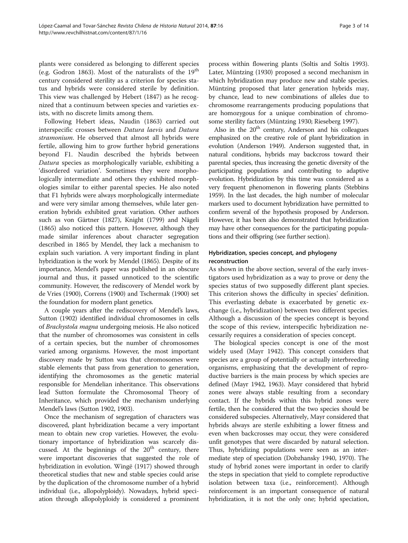plants were considered as belonging to different species (e.g. Godron [1863](#page-11-0)). Most of the naturalists of the  $19<sup>th</sup>$ century considered sterility as a criterion for species status and hybrids were considered sterile by definition. This view was challenged by Hebert [\(1847\)](#page-12-0) as he recognized that a continuum between species and varieties exists, with no discrete limits among them.

Following Hebert ideas, Naudin ([1863](#page-12-0)) carried out interspecific crosses between Datura laevis and Datura stramonium. He observed that almost all hybrids were fertile, allowing him to grow further hybrid generations beyond F1. Naudin described the hybrids between Datura species as morphologically variable, exhibiting a 'disordered variation'. Sometimes they were morphologically intermediate and others they exhibited morphologies similar to either parental species. He also noted that F1 hybrids were always morphologically intermediate and were very similar among themselves, while later generation hybrids exhibited great variation. Other authors such as von Gärtner ([1827](#page-11-0)), Knight ([1799\)](#page-12-0) and Nägeli ([1865](#page-12-0)) also noticed this pattern. However, although they made similar inferences about character segregation described in 1865 by Mendel, they lack a mechanism to explain such variation. A very important finding in plant hybridization is the work by Mendel (1865). Despite of its importance, Mendel's paper was published in an obscure journal and thus, it passed unnoticed to the scientific community. However, the rediscovery of Mendel work by de Vries [\(1900\)](#page-11-0), Correns ([1900](#page-11-0)) and Tschermak [\(1900](#page-13-0)) set the foundation for modern plant genetics.

A couple years after the rediscovery of Mendel's laws, Sutton [\(1902\)](#page-13-0) identified individual chromosomes in cells of Brachystola magna undergoing meiosis. He also noticed that the number of chromosomes was consistent in cells of a certain species, but the number of chromosomes varied among organisms. However, the most important discovery made by Sutton was that chromosomes were stable elements that pass from generation to generation, identifying the chromosomes as the genetic material responsible for Mendelian inheritance. This observations lead Sutton formulate the Chromosomal Theory of Inheritance, which provided the mechanism underlying Mendel's laws (Sutton [1902](#page-13-0), [1903](#page-13-0)).

Once the mechanism of segregation of characters was discovered, plant hybridization became a very important mean to obtain new crop varieties. However, the evolutionary importance of hybridization was scarcely discussed. At the beginnings of the  $20<sup>th</sup>$  century, there were important discoveries that suggested the role of hybridization in evolution. Wingë [\(1917\)](#page-13-0) showed through theoretical studies that new and stable species could arise by the duplication of the chromosome number of a hybrid individual (i.e., allopolyploidy). Nowadays, hybrid speciation through allopolyploidy is considered a prominent process within flowering plants (Soltis and Soltis [1993](#page-13-0)). Later, Müntzing [\(1930](#page-12-0)) proposed a second mechanism in which hybridization may produce new and stable species. Müntzing proposed that later generation hybrids may, by chance, lead to new combinations of alleles due to chromosome rearrangements producing populations that are homozygous for a unique combination of chromosome sterility factors (Müntzing [1930](#page-12-0); Rieseberg [1997](#page-12-0)).

Also in the  $20<sup>th</sup>$  century, Anderson and his colleagues emphasized on the creative role of plant hybridization in evolution (Anderson [1949\)](#page-11-0). Anderson suggested that, in natural conditions, hybrids may backcross toward their parental species, thus increasing the genetic diversity of the participating populations and contributing to adaptive evolution. Hybridization by this time was considered as a very frequent phenomenon in flowering plants (Stebbins [1959\)](#page-13-0). In the last decades, the high number of molecular markers used to document hybridization have permitted to confirm several of the hypothesis proposed by Anderson. However, it has been also demonstrated that hybridization may have other consequences for the participating populations and their offspring (see further section).

# Hybridization, species concept, and phylogeny reconstruction

As shown in the above section, several of the early investigators used hybridization as a way to prove or deny the species status of two supposedly different plant species. This criterion shows the difficulty in species' definition. This everlasting debate is exacerbated by genetic exchange (i.e., hybridization) between two different species. Although a discussion of the species concept is beyond the scope of this review, interspecific hybridization necessarily requires a consideration of species concept.

The biological species concept is one of the most widely used (Mayr [1942\)](#page-12-0). This concept considers that species are a group of potentially or actually interbreeding organisms, emphasizing that the development of reproductive barriers is the main process by which species are defined (Mayr [1942, 1963](#page-12-0)). Mayr considered that hybrid zones were always stable resulting from a secondary contact. If the hybrids within this hybrid zones were fertile, then he considered that the two species should be considered subspecies. Alternatively, Mayr considered that hybrids always are sterile exhibiting a lower fitness and even when backcrosses may occur, they were considered unfit genotypes that were discarded by natural selection. Thus, hybridizing populations were seen as an intermediate step of speciation (Dobzhansky [1940](#page-11-0), [1970\)](#page-11-0). The study of hybrid zones were important in order to clarify the steps in speciation that yield to complete reproductive isolation between taxa (i.e., reinforcement). Although reinforcement is an important consequence of natural hybridization, it is not the only one; hybrid speciation,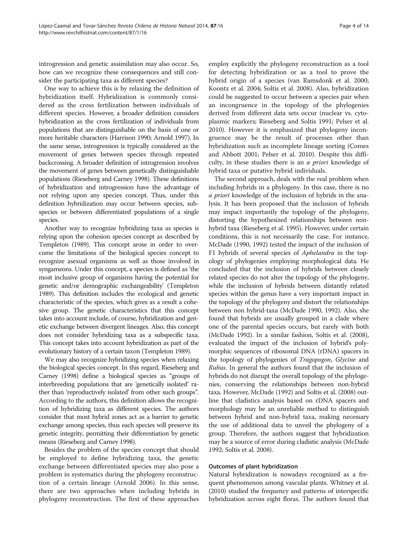introgression and genetic assimilation may also occur. So, how can we recognize these consequences and still consider the participating taxa as different species?

One way to achieve this is by relaxing the definition of hybridization itself. Hybridization is commonly considered as the cross fertilization between individuals of different species. However, a broader definition considers hybridization as the cross fertilization of individuals from populations that are distinguishable on the basis of one or more heritable characters (Harrison [1990;](#page-12-0) Arnold [1997](#page-11-0)). In the same sense, introgression is typically considered as the movement of genes between species through repeated backcrossing. A broader definition of introgression involves the movement of genes between genetically distinguishable populations (Rieseberg and Carney [1998](#page-12-0)). These definitions of hybridization and introgression have the advantage of not relying upon any species concept. Thus, under this definition hybridization may occur between species, subspecies or between differentiated populations of a single species.

Another way to recognize hybridizing taxa as species is relying upon the cohesion species concept as described by Templeton ([1989\)](#page-13-0). This concept arose in order to overcome the limitations of the biological species concept to recognize asexual organisms as well as those involved in syngameons. Under this concept, a species is defined as 'the most inclusive group of organisms having the potential for genetic and/or demographic exchangeability' (Templeton [1989\)](#page-13-0). This definition includes the ecological and genetic characteristic of the species, which gives as a result a cohesive group. The genetic characteristics that this concept takes into account include, of course, hybridization and genetic exchange between divergent lineages. Also, this concept does not consider hybridizing taxa as a subspecific taxa. This concept takes into account hybridization as part of the evolutionary history of a certain taxon (Templeton [1989](#page-13-0)).

We may also recognize hybridizing species when relaxing the biological species concept. In this regard, Rieseberg and Carney ([1998\)](#page-12-0) define a biological species as "groups of interbreeding populations that are 'genetically isolated' rather than 'reproductively isolated' from other such groups". According to the authors, this definition allows the recognition of hybridizing taxa as different species. The authors consider that most hybrid zones act as a barrier to genetic exchange among species, thus each species will preserve its genetic integrity, permitting their differentiation by genetic means (Rieseberg and Carney [1998\)](#page-12-0).

Besides the problem of the species concept that should be employed to define hybridizing taxa, the genetic exchange between differentiated species may also pose a problem in systematics during the phylogeny reconstruction of a certain lineage (Arnold [2006](#page-11-0)). In this sense, there are two approaches when including hybrids in phylogeny reconstruction. The first of these approaches

employ explicitly the phylogeny reconstruction as a tool for detecting hybridization or as a tool to prove the hybrid origin of a species (van Ramsdonk et al. [2000](#page-13-0); Koontz et al. [2004;](#page-12-0) Soltis et al. [2008\)](#page-13-0). Also, hybridization could be suggested to occur between a species pair when an incongruence in the topology of the phylogenies derived from different data sets occur (nuclear vs. cytoplasmic markers; Rieseberg and Soltis [1991;](#page-12-0) Pelser et al. [2010](#page-12-0)). However it is emphasized that phylogeny incongruence may be the result of processes other than hybridization such as incomplete lineage sorting (Comes and Abbott 2001; Pelser et al. [2010\)](#page-12-0). Despite this difficulty, in these studies there is an a priori knowledge of hybrid taxa or putative hybrid individuals.

The second approach, deals with the real problem when including hybrids in a phylogeny. In this case, there is no a priori knowledge of the inclusion of hybrids in the analysis. It has been proposed that the inclusion of hybrids may impact importantly the topology of the phylogeny, distorting the hypothesized relationships between nonhybrid taxa (Rieseberg et al. [1995](#page-12-0)). However, under certain conditions, this is not necessarily the case. For instance, McDade ([1990](#page-12-0), [1992](#page-12-0)) tested the impact of the inclusion of F1 hybrids of several species of Aphelandra in the topology of phylogenies employing morphological data. He concluded that the inclusion of hybrids between closely related species do not alter the topology of the phylogeny, while the inclusion of hybrids between distantly related species within the genus have a very important impact in the topology of the phylogeny and distort the relationships between non hybrid-taxa (McDade [1990, 1992](#page-12-0)). Also, she found that hybrids are usually grouped in a clade where one of the parental species occurs, but rarely with both (McDade [1992](#page-12-0)). In a similar fashion, Soltis et al. [\(2008](#page-13-0)), evaluated the impact of the inclusion of hybrid's polymorphic sequences of ribosomal DNA (rDNA) spacers in the topology of phylogenies of Tragopogon, Glycine and Rubus. In general the authors found that the inclusion of hybrids do not disrupt the overall topology of the phylogenies, conserving the relationships between non-hybrid taxa. However, McDade ([1992\)](#page-12-0) and Soltis et al. [\(2008](#page-13-0)) outline that cladistics analysis based on rDNA spacers and morphology may be an unreliable method to distinguish between hybrid and non-hybrid taxa, making necessary the use of additional data to unveil the phylogeny of a group. Therefore, the authors suggest that hybridization may be a source of error during cladistic analysis (McDade [1992](#page-12-0); Soltis et al. [2008\)](#page-13-0).

# Outcomes of plant hybridization

Natural hybridization is nowadays recognized as a frequent phenomenon among vascular plants. Whitney et al. ([2010](#page-13-0)) studied the frequency and patterns of interspecific hybridization across eight floras. The authors found that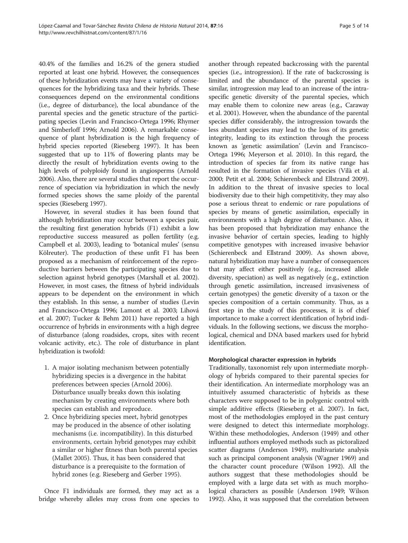40.4% of the families and 16.2% of the genera studied reported at least one hybrid. However, the consequences of these hybridization events may have a variety of consequences for the hybridizing taxa and their hybrids. These consequences depend on the environmental conditions (i.e., degree of disturbance), the local abundance of the parental species and the genetic structure of the participating species (Levin and Francisco-Ortega [1996;](#page-12-0) Rhymer and Simberloff [1996](#page-12-0); Arnold [2006](#page-11-0)). A remarkable consequence of plant hybridization is the high frequency of hybrid species reported (Rieseberg [1997\)](#page-12-0). It has been suggested that up to 11% of flowering plants may be directly the result of hybridization events owing to the high levels of polyploidy found in angiosperms (Arnold [2006\)](#page-11-0). Also, there are several studies that report the occurrence of speciation via hybridization in which the newly formed species shows the same ploidy of the parental species (Rieseberg [1997\)](#page-12-0).

However, in several studies it has been found that although hybridization may occur between a species pair, the resulting first generation hybrids (F1) exhibit a low reproductive success measured as pollen fertility (e.g. Campbell et al. [2003](#page-11-0)), leading to 'botanical mules' (sensu Kölreuter). The production of these unfit F1 has been proposed as a mechanism of reinforcement of the reproductive barriers between the participating species due to selection against hybrid genotypes (Marshall et al. [2002](#page-12-0)). However, in most cases, the fitness of hybrid individuals appears to be dependent on the environment in which they establish. In this sense, a number of studies (Levin and Francisco-Ortega [1996](#page-12-0); Lamont et al. [2003;](#page-12-0) Lihová et al. [2007](#page-12-0); Tucker & Behm [2011](#page-13-0)) have reported a high occurrence of hybrids in environments with a high degree of disturbance (along roadsides, crops, sites with recent volcanic activity, etc.). The role of disturbance in plant hybridization is twofold:

- 1. A major isolating mechanism between potentially hybridizing species is a divergence in the habitat preferences between species (Arnold [2006\)](#page-11-0). Disturbance usually breaks down this isolating mechanism by creating environments where both species can establish and reproduce.
- 2. Once hybridizing species meet, hybrid genotypes may be produced in the absence of other isolating mechanisms (i.e. incompatibility). In this disturbed environments, certain hybrid genotypes may exhibit a similar or higher fitness than both parental species (Mallet [2005](#page-12-0)). Thus, it has been considered that disturbance is a prerequisite to the formation of hybrid zones (e.g. Rieseberg and Gerber [1995](#page-12-0)).

Once F1 individuals are formed, they may act as a bridge whereby alleles may cross from one species to

another through repeated backcrossing with the parental species (i.e., introgression). If the rate of backcrossing is limited and the abundance of the parental species is similar, introgression may lead to an increase of the intraspecific genetic diversity of the parental species, which may enable them to colonize new areas (e.g., Caraway et al. [2001\)](#page-11-0). However, when the abundance of the parental species differ considerably, the introgression towards the less abundant species may lead to the loss of its genetic integrity, leading to its extinction through the process known as 'genetic assimilation' (Levin and Francisco-Ortega [1996](#page-12-0); Meyerson et al. [2010\)](#page-12-0). In this regard, the introduction of species far from its native range has resulted in the formation of invasive species (Vilà et al. [2000;](#page-13-0) Petit et al. [2004](#page-12-0); Schierenbeck and Ellstrand [2009](#page-13-0)). In addition to the threat of invasive species to local biodiversity due to their high competitivity, they may also pose a serious threat to endemic or rare populations of species by means of genetic assimilation, especially in environments with a high degree of disturbance. Also, it has been proposed that hybridization may enhance the invasive behavior of certain species, leading to highly competitive genotypes with increased invasive behavior (Schierenbeck and Ellstrand [2009\)](#page-13-0). As shown above, natural hybridization may have a number of consequences that may affect either positively (e.g., increased allele diversity, speciation) as well as negatively (e.g., extinction through genetic assimilation, increased invasiveness of certain genotypes) the genetic diversity of a taxon or the species composition of a certain community. Thus, as a first step in the study of this processes, it is of chief importance to make a correct identification of hybrid individuals. In the following sections, we discuss the morphological, chemical and DNA based markers used for hybrid identification.

# Morphological character expression in hybrids

Traditionally, taxonomist rely upon intermediate morphology of hybrids compared to their parental species for their identification. An intermediate morphology was an intuitively assumed characteristic of hybrids as these characters were supposed to be in polygenic control with simple additive effects (Rieseberg et al. [2007](#page-13-0)). In fact, most of the methodologies employed in the past century were designed to detect this intermediate morphology. Within these methodologies, Anderson [\(1949\)](#page-11-0) and other influential authors employed methods such as pictoralized scatter diagrams (Anderson [1949\)](#page-11-0), multivariate analysis such as principal component analysis (Wagner [1969](#page-13-0)) and the character count procedure (Wilson [1992\)](#page-13-0). All the authors suggest that these methodologies should be employed with a large data set with as much morphological characters as possible (Anderson [1949;](#page-11-0) Wilson [1992](#page-13-0)). Also, it was supposed that the correlation between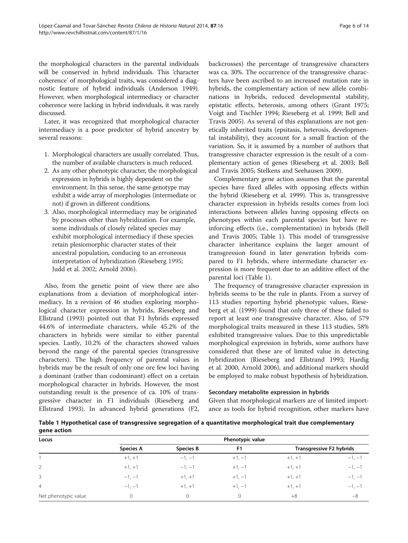the morphological characters in the parental individuals will be conserved in hybrid individuals. This 'character coherence' of morphological traits, was considered a diagnostic feature of hybrid individuals (Anderson [1949](#page-11-0)). However, when morphological intermediacy or character coherence were lacking in hybrid individuals, it was rarely discussed.

Later, it was recognized that morphological character intermediacy is a poor predictor of hybrid ancestry by several reasons:

- 1. Morphological characters are usually correlated. Thus, the number of available characters is much reduced.
- 2. As any other phenotypic character, the morphological expression in hybrids is highly dependent on the environment. In this sense, the same genotype may exhibit a wide array of morphologies (intermediate or not) if grown in different conditions.
- 3. Also, morphological intermediacy may be originated by processes other than hybridization. For example, some individuals of closely related species may exhibit morphological intermediacy if these species retain plesiomorphic character states of their ancestral population, conducing to an erroneous interpretation of hybridization (Rieseberg [1995](#page-12-0); Judd et al. [2002](#page-12-0); Arnold [2006\)](#page-11-0).

Also, from the genetic point of view there are also explanations from a deviation of morphological intermediacy. In a revision of 46 studies exploring morphological character expression in hybrids, Rieseberg and Ellstrand ([1993](#page-12-0)) pointed out that F1 hybrids expressed 44.6% of intermediate characters, while 45.2% of the characters in hybrids were similar to either parental species. Lastly, 10.2% of the characters showed values beyond the range of the parental species (transgressive characters). The high frequency of parental values in hybrids may be the result of only one ore few loci having a dominant (rather than codominant) effect on a certain morphological character in hybrids. However, the most outstanding result is the presence of ca. 10% of transgressive character in F1 individuals (Rieseberg and Ellstrand [1993\)](#page-12-0). In advanced hybrid generations (F2,

backcrosses) the percentage of transgressive characters was ca. 30%. The occurrence of the transgressive characters have been ascribed to an increased mutation rate in hybrids, the complementary action of new allele combinations in hybrids, reduced developmental stability, epistatic effects, heterosis, among others (Grant [1975](#page-11-0); Voigt and Tischler [1994](#page-13-0); Rieseberg et al. [1999;](#page-12-0) Bell and Travis [2005\)](#page-11-0). As several of this explanations are not genetically inherited traits (epsitasis, heterosis, developmental instability), they account for a small fraction of the variation. So, it is assumed by a number of authors that transgressive character expression is the result of a complementary action of genes (Rieseberg et al. [2003;](#page-13-0) Bell and Travis [2005;](#page-11-0) Stelkens and Seehausen [2009](#page-13-0)).

Complementary gene action assumes that the parental species have fixed alleles with opposing effects within the hybrid (Rieseberg et al. [1999](#page-12-0)). This is, transgressive character expression in hybrids results comes from loci interactions between alleles having opposing effects on phenotypes within each parental species but have reinforcing effects (i.e., complementation) in hybrids (Bell and Travis [2005;](#page-11-0) Table 1). This model of transgressive character inheritance explains the larger amount of transgression found in later generation hybrids compared to F1 hybrids, where intermediate character expression is more frequent due to an additive effect of the parental loci (Table 1).

The frequency of transgressive character expression in hybrids seems to be the rule in plants. From a survey of 113 studies reporting hybrid phenotypic values, Rieseberg et al. [\(1999\)](#page-12-0) found that only three of these failed to report at least one transgressive character. Also, of 579 morphological traits measured in these 113 studies, 58% exhibited transgressive values. Due to this unpredictable morphological expression in hybrids, some authors have considered that these are of limited value in detecting hybridization (Rieseberg and Ellstrand [1993;](#page-12-0) Hardig et al. [2000](#page-12-0), Arnold [2006\)](#page-11-0), and additional markers should be employed to make robust hypothesis of hybridization.

### Secondary metabolite expression in hybrids

Given that morphological markers are of limited importance as tools for hybrid recognition, other markers have

|             | Table 1 Hypothetical case of transgressive segregation of a quantitative morphological trait due complementary |  |  |
|-------------|----------------------------------------------------------------------------------------------------------------|--|--|
| gene action |                                                                                                                |  |  |

| Locus                | Phenotypic value |                  |          |                          |          |  |  |
|----------------------|------------------|------------------|----------|--------------------------|----------|--|--|
|                      | <b>Species A</b> | <b>Species B</b> | F1       | Transgressive F2 hybrids |          |  |  |
|                      | $+1, +1$         | $-1, -1$         | $+1, -1$ | $+1, +1$                 | $-1, -1$ |  |  |
| $\overline{2}$       | $+1, +1$         | $-1, -1$         | $+1, -1$ | $+1, +1$                 | $-1, -1$ |  |  |
| $\mathbf{3}$         | $-1, -1$         | $+1, +1$         | $+1, -1$ | $+1, +1$                 | $-1, -1$ |  |  |
| 4                    | $-1, -1$         | $+1, +1$         | $+1, -1$ | $+1, +1$                 | $-1, -1$ |  |  |
| Net phenotypic value |                  | $\Omega$         | 0        | $+8$                     | $-8$     |  |  |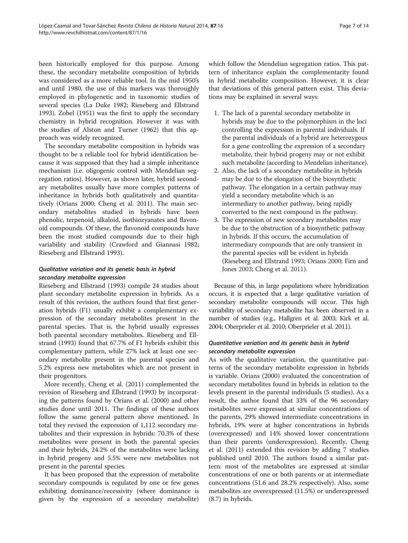been historically employed for this purpose. Among these, the secondary metabolite composition of hybrids was considered as a more reliable tool. In the mid 1950's and until 1980, the use of this markers was thoroughly employed in phylogenetic and in taxonomic studies of several species (La Duke [1982](#page-12-0); Rieseberg and Ellstrand [1993](#page-12-0)). Zobel [\(1951\)](#page-13-0) was the first to apply the secondary chemistry in hybrid recognition. However it was with the studies of Alston and Turner [\(1962\)](#page-11-0) that this approach was widely recognized.

The secondary metabolite composition in hybrids was thought to be a reliable tool for hybrid identification because it was supposed that they had a simple inheritance mechanism (i.e. oligogenic control with Mendelian segregation ratios). However, as shown later, hybrid secondary metabolites usually have more complex patterns of inheritance in hybrids both qualitatively and quantitatively (Orians [2000](#page-12-0); Cheng et al. [2011](#page-11-0)). The main secondary metabolites studied in hybrids have been phenolic, terpenoid, alkaloid, isothiozyanates and flavonoid compounds. Of these, the flavonoid compounds have been the most studied compounds due to their high variability and stability (Crawford and Giannasi [1982](#page-11-0); Rieseberg and Ellstrand [1993\)](#page-12-0).

# Qualitative variation and its genetic basis in hybrid secondary metabolite expression

Rieseberg and Ellstrand [\(1993](#page-12-0)) compile 24 studies about plant secondary metabolite expression in hybrids. As a result of this revision, the authors found that first generation hybrids (F1) usually exhibit a complementary expression of the secondary metabolites present in the parental species. That is, the hybrid usually expresses both parental secondary metabolites. Rieseberg and Ellstrand ([1993](#page-12-0)) found that 67.7% of F1 hybrids exhibit this complementary pattern, while 27% lack at least one secondary metabolite present in the parental species and 5.2% express new metabolites which are not present in their progenitors.

More recently, Cheng et al. ([2011](#page-11-0)) complemented the revision of Rieseberg and Ellstrand ([1993\)](#page-12-0) by incorporating the patterns found by Orians et al. [\(2000\)](#page-12-0) and other studies done until 2011. The findings of these authors follow the same general pattern above mentioned. In total they revised the expression of 1,112 secondary metabolites and their expression in hybrids: 70.3% of these metabolites were present in both the parental species and their hybrids, 24.2% of the metabolites were lacking in hybrid progeny and 5.5% were new metabolites not present in the parental species.

It has been proposed that the expression of metabolite secondary compounds is regulated by one or few genes exhibiting dominance/recessivity (where dominance is given by the expression of a secondary metabolite) which follow the Mendelian segregation ratios. This pattern of inheritance explain the complementarity found in hybrid metabolite composition. However, it is clear that deviations of this general pattern exist. This deviations may be explained in several ways:

- 1. The lack of a parental secondary metabolite in hybrids may be due to the polymorphism in the loci controlling the expression in parental individuals. If the parental individuals of a hybrid are heterozygous for a gene controlling the expression of a secondary metabolite, their hybrid progeny may or not exhibit such metabolite (according to Mendelian inheritance).
- 2. Also, the lack of a secondary metabolite in hybrids may be due to the elongation of the biosynthetic pathway. The elongation in a certain pathway may yield a secondary metabolite which is an intermediary to another pathway, being rapidly converted to the next compound in the pathway.
- 3. The expression of new secondary metabolites may be due to the obstruction of a biosynthetic pathway in hybrids. If this occurs, the accumulation of intermediary compounds that are only transient in the parental species will be evident in hybrids (Rieseberg and Ellstrand [1993](#page-12-0); Orians [2000](#page-12-0); Firn and Jones [2003;](#page-11-0) Cheng et al. [2011](#page-11-0)).

Because of this, in large populations where hybridization occurs, it is expected that a large qualitative variation of secondary metabolite compounds will occur. This high variability of secondary metabolite has been observed in a number of studies (e.g., Hallgren et al. [2003](#page-12-0); Kirk et al. [2004;](#page-12-0) Oberprieler et al. [2010;](#page-12-0) Oberprieler et al. [2011](#page-12-0)).

# Quantitative variation and its genetic basis in hybrid secondary metabolite expression

As with the qualitative variation, the quantitative patterns of the secondary metabolite expression in hybrids is variable. Orians ([2000\)](#page-12-0) evaluated the concentration of secondary metabolites found in hybrids in relation to the levels present in the parental individuals (5 studies). As a result, the author found that 33% of the 96 secondary metabolites were expressed at similar concentrations of the parents, 29% showed intermediate concentrations in hybrids, 19% were at higher concentrations in hybrids (overexpressed) and 14% showed lower concentrations than their parents (underexpression). Recently, Cheng et al. ([2011](#page-11-0)) extended this revision by adding 7 studies published until 2010. The authors found a similar pattern: most of the metabolites are expressed at similar concentrations of one or both parents or at intermediate concentrations (51.6 and 28.2% respectively). Also, some metabolites are overexpressed (11.5%) or underexpressed (8.7) in hybrids.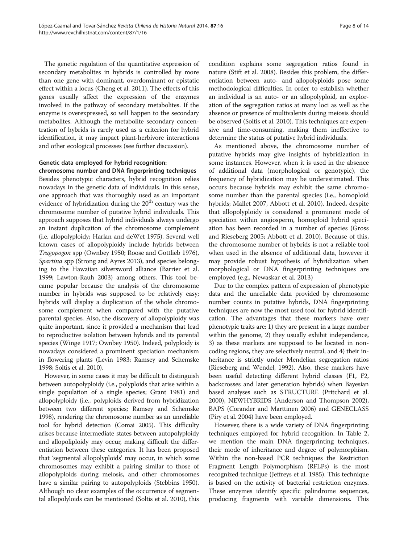The genetic regulation of the quantitative expression of secondary metabolites in hybrids is controlled by more than one gene with dominant, overdominant or epistatic effect within a locus (Cheng et al. [2011](#page-11-0)). The effects of this genes usually affect the expression of the enzymes involved in the pathway of secondary metabolites. If the enzyme is overexpressed, so will happen to the secondary metabolites. Although the metabolite secondary concentration of hybrids is rarely used as a criterion for hybrid identification, it may impact plant-herbivore interactions and other ecological processes (see further discussion).

# Genetic data employed for hybrid recognition:

chromosome number and DNA fingerprinting techniques Besides phenotypic characters, hybrid recognition relies nowadays in the genetic data of individuals. In this sense, one approach that was thoroughly used as an important evidence of hybridization during the  $20<sup>th</sup>$  century was the chromosome number of putative hybrid individuals. This approach supposes that hybrid individuals always undergo an instant duplication of the chromosome complement (i.e. allopolyploidy; Harlan and deWet [1975\)](#page-12-0). Several well known cases of allopolyploidy include hybrids between Tragopogon spp (Ownbey [1950](#page-12-0); Roose and Gottlieb [1976](#page-13-0)), Spartina spp (Strong and Ayres [2013\)](#page-13-0), and species belonging to the Hawaiian silversword alliance (Barrier et al. [1999;](#page-11-0) Lawton-Rauh [2003\)](#page-12-0) among others. This tool became popular because the analysis of the chromosome number in hybrids was supposed to be relatively easy; hybrids will display a duplication of the whole chromosome complement when compared with the putative parental species. Also, the discovery of allopolyploidy was quite important, since it provided a mechanism that lead to reproductive isolation between hybrids and its parental species (Winge [1917](#page-13-0); Ownbey [1950\)](#page-12-0). Indeed, polyploidy is nowadays considered a prominent speciation mechanism in flowering plants (Levin [1983](#page-12-0); Ramsey and Schemske [1998;](#page-12-0) Soltis et al. [2010\)](#page-13-0).

However, in some cases it may be difficult to distinguish between autopolyploidy (i.e., polyploids that arise within a single population of a single species; Grant [1981](#page-11-0)) and allopolyploidy (i.e., polyploids derived from hybridization between two different species; Ramsey and Schemske [1998\)](#page-12-0), rendering the chromosome number as an unreliable tool for hybrid detection (Comai [2005](#page-11-0)). This difficulty arises because intermediate states between autopolyploidy and allopoliploidy may occur, making difficult the differentiation between these categories. It has been proposed that 'segmental allopolyploids' may occur, in which some chromosomes may exhibit a pairing similar to those of allopolyploids during meiosis, and other chromosomes have a similar pairing to autopolyploids (Stebbins [1950](#page-13-0)). Although no clear examples of the occurrence of segmental allopolyloids can be mentioned (Soltis et al. [2010\)](#page-13-0), this

condition explains some segregation ratios found in nature (Stift et al. [2008](#page-13-0)). Besides this problem, the differentiation between auto- and allopolyploids pose some methodological difficulties. In order to establish whether an individual is an auto- or an allopolyploid, an exploration of the segregation ratios at many loci as well as the absence or presence of multivalents during meiosis should be observed (Soltis et al. [2010\)](#page-13-0). This techniques are expensive and time-consuming, making them ineffective to determine the status of putative hybrid individuals.

As mentioned above, the chromosome number of putative hybrids may give insights of hybridization in some instances. However, when it is used in the absence of additional data (morphological or genotypic), the frequency of hybridization may be underestimated. This occurs because hybrids may exhibit the same chromosome number than the parental species (i.e., homoploid hybrids; Mallet [2007,](#page-12-0) Abbott et al. [2010](#page-11-0)). Indeed, despite that allopolyploidy is considered a prominent mode of speciation within angiosperm, homoploid hybrid speciation has been recorded in a number of species (Gross and Rieseberg [2005](#page-12-0); Abbott et al. [2010\)](#page-11-0). Because of this, the chromosome number of hybrids is not a reliable tool when used in the absence of additional data, however it may provide robust hypothesis of hybridization when morphological or DNA fingerprinting techniques are employed (e.g., Newaskar et al. [2013\)](#page-12-0)

Due to the complex pattern of expression of phenotypic data and the unreliable data provided by chromosome number counts in putative hybrids, DNA fingerprinting techniques are now the most used tool for hybrid identification. The advantages that these markers have over phenotypic traits are: 1) they are present in a large number within the genome, 2) they usually exhibit independence, 3) as these markers are supposed to be located in noncoding regions, they are selectively neutral, and 4) their inheritance is strictly under Mendelian segregation ratios (Rieseberg and Wendel, 1992). Also, these markers have been useful detecting different hybrid classes (F1, F2, backcrosses and later generation hybrids) when Bayesian based analyses such as STRUCTURE (Pritchard et al. [2000](#page-12-0)), NEWHYBRIDS (Anderson and Thompson [2002](#page-11-0)), BAPS (Corander and Marttinen [2006](#page-11-0)) and GENECLASS (Piry et al. [2004](#page-12-0)) have been employed.

However, there is a wide variety of DNA fingerprinting techniques employed for hybrid recognition. In Table [2](#page-8-0), we mention the main DNA fingerprinting techniques, their mode of inheritance and degree of polymorphism. Within the non-based PCR techniques the Restriction Fragment Length Polymorphism (RFLPs) is the most recognized technique (Jeffreys et al. [1985](#page-12-0)). This technique is based on the activity of bacterial restriction enzymes. These enzymes identify specific palindrome sequences, producing fragments with variable dimensions. This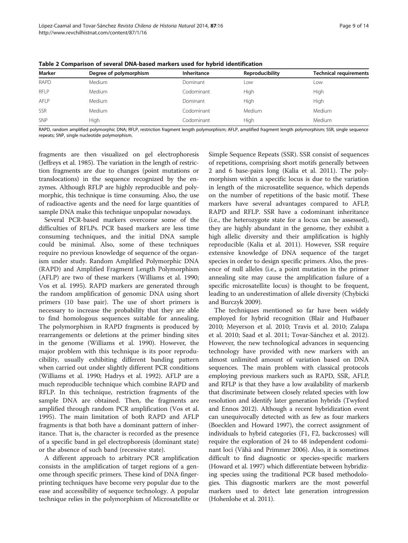| Marker      | Degree of polymorphism | Inheritance | Reproducibility | <b>Technical requirements</b> |
|-------------|------------------------|-------------|-----------------|-------------------------------|
| <b>RAPD</b> | Medium                 | Dominant    | Low             | Low                           |
| <b>RFLP</b> | Medium                 | Codominant  | High            | High                          |
| AFLP        | Medium                 | Dominant    | High            | High                          |
| SSR         | Medium                 | Codominant  | Medium          | Medium                        |
| SNP         | High                   | Codominant  | High            | Medium                        |

<span id="page-8-0"></span>Table 2 Comparison of several DNA-based markers used for hybrid identification

RAPD, random amplified polymorphic DNA; RFLP, restriction fragment length polymorphism; AFLP, amplified fragment length polymorphism; SSR, single sequence repeats; SNP, single nucleotide polymorphism.

fragments are then visualized on gel electrophoresis (Jeffreys et al. [1985\)](#page-12-0). The variation in the length of restriction fragments are due to changes (point mutations or translocations) in the sequence recognized by the enzymes. Although RFLP are highly reproducible and polymorphic, this technique is time consuming. Also, the use of radioactive agents and the need for large quantities of sample DNA make this technique unpopular nowadays.

Several PCR-based markers overcome some of the difficulties of RFLPs. PCR based markers are less time consuming techniques, and the initial DNA sample could be minimal. Also, some of these techniques require no previous knowledge of sequence of the organism under study. Random Amplified Polymorphic DNA (RAPD) and Amplified Fragment Length Polymorphism (AFLP) are two of these markers (Williams et al. [1990](#page-13-0); Vos et al. [1995\)](#page-13-0). RAPD markers are generated through the random amplification of genomic DNA using short primers (10 base pair). The use of short primers is necessary to increase the probability that they are able to find homologous sequences suitable for annealing. The polymorphism in RAPD fragments is produced by rearrangements or deletions at the primer binding sites in the genome (Williams et al. [1990](#page-13-0)). However, the major problem with this technique is its poor reproducibility, usually exhibiting different banding pattern when carried out under slightly different PCR conditions (Williams et al. [1990](#page-13-0); Hadrys et al. [1992\)](#page-12-0). AFLP are a much reproducible technique which combine RAPD and RFLP. In this technique, restriction fragments of the sample DNA are obtained. Then, the fragments are amplified through random PCR amplification (Vos et al. [1995](#page-13-0)). The main limitation of both RAPD and AFLP fragments is that both have a dominant pattern of inheritance. That is, the character is recorded as the presence of a specific band in gel electrophoresis (dominant state) or the absence of such band (recessive state).

A different approach to arbitrary PCR amplification consists in the amplification of target regions of a genome through specific primers. These kind of DNA fingerprinting techniques have become very popular due to the ease and accessibility of sequence technology. A popular technique relies in the polymorphism of Microsatellite or

Simple Sequence Repeats (SSR). SSR consist of sequences of repetitions, comprising short motifs generally between 2 and 6 base-pairs long (Kalia et al. [2011\)](#page-12-0). The polymorphism within a specific locus is due to the variation in length of the microsatellite sequence, which depends on the number of repetitions of the basic motif. These markers have several advantages compared to AFLP, RAPD and RFLP. SSR have a codominant inheritance (i.e., the heterozygote state for a locus can be assessed), they are highly abundant in the genome, they exhibit a high allelic diversity and their amplification is highly reproducible (Kalia et al. [2011\)](#page-12-0). However, SSR require extensive knowledge of DNA sequence of the target species in order to design specific primers. Also, the presence of null alleles (i.e., a point mutation in the primer annealing site may cause the amplification failure of a specific microsatellite locus) is thought to be frequent, leading to an underestimation of allele diversity (Chybicki and Burczyk [2009](#page-11-0)).

The techniques mentioned so far have been widely employed for hybrid recognition (Blair and Hufbauer [2010](#page-11-0); Meyerson et al. [2010;](#page-12-0) Travis et al. [2010](#page-13-0); Zalapa et al. [2010](#page-13-0); Saad et al. [2011;](#page-13-0) Tovar-Sánchez et al. [2012](#page-13-0)). However, the new technological advances in sequencing technology have provided with new markers with an almost unlimited amount of variation based on DNA sequences. The main problem with classical protocols employing previous markers such as RAPD, SSR, AFLP, and RFLP is that they have a low availability of markersb that discriminate between closely related species with low resolution and identify later generation hybrids (Twyford and Ennos [2012\)](#page-13-0). Although a recent hybridization event can unequivocally detected with as few as four markers (Boecklen and Howard [1997\)](#page-11-0), the correct assignment of individuals to hybrid categories (F1, F2, backcrosses) will require the exploration of 24 to 48 independent codominant loci (Vähä and Primmer [2006](#page-13-0)). Also, it is sometimes difficult to find diagnostic or species-specific markers (Howard et al. [1997\)](#page-12-0) which differentiate between hybridizing species using the traditional PCR based methodologies. This diagnostic markers are the most powerful markers used to detect late generation introgression (Hohenlohe et al. [2011\)](#page-12-0).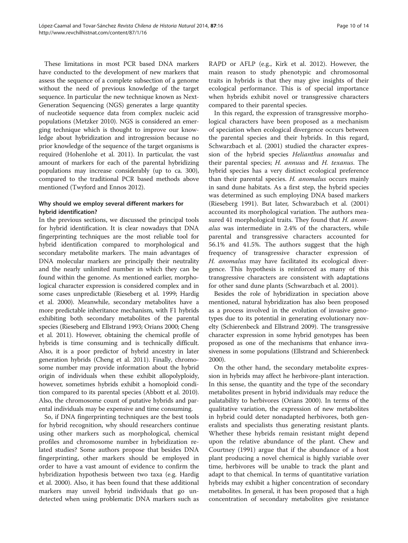These limitations in most PCR based DNA markers have conducted to the development of new markers that assess the sequence of a complete subsection of a genome without the need of previous knowledge of the target sequence. In particular the new technique known as Next-Generation Sequencing (NGS) generates a large quantity of nucleotide sequence data from complex nucleic acid populations (Metzker [2010](#page-12-0)). NGS is considered an emerging technique which is thought to improve our knowledge about hybridization and introgression because no prior knowledge of the sequence of the target organisms is required (Hohenlohe et al. [2011](#page-12-0)). In particular, the vast amount of markers for each of the parental hybridizing populations may increase considerably (up to ca. 300), compared to the traditional PCR based methods above mentioned (Twyford and Ennos [2012](#page-13-0)).

# Why should we employ several different markers for hybrid identification?

In the previous sections, we discussed the principal tools for hybrid identification. It is clear nowadays that DNA fingerprinting techniques are the most reliable tool for hybrid identification compared to morphological and secondary metabolite markers. The main advantages of DNA molecular markers are principally their neutrality and the nearly unlimited number in which they can be found within the genome. As mentioned earlier, morphological character expression is considered complex and in some cases unpredictable (Rieseberg et al. [1999](#page-12-0); Hardig et al. [2000](#page-12-0)). Meanwhile, secondary metabolites have a more predictable inheritance mechanism, with F1 hybrids exhibiting both secondary metabolites of the parental species (Rieseberg and Ellstrand [1993](#page-12-0); Orians [2000;](#page-12-0) Cheng et al. [2011](#page-11-0)). However, obtaining the chemical profile of hybrids is time consuming and is technically difficult. Also, it is a poor predictor of hybrid ancestry in later generation hybrids (Cheng et al. [2011\)](#page-11-0). Finally, chromosome number may provide information about the hybrid origin of individuals when these exhibit allopolyploidy, however, sometimes hybrids exhibit a homoploid condition compared to its parental species (Abbott et al. [2010](#page-11-0)). Also, the chromosome count of putative hybrids and parental individuals may be expensive and time consuming.

So, if DNA fingerprinting techniques are the best tools for hybrid recognition, why should researchers continue using other markers such as morphological, chemical profiles and chromosome number in hybridization related studies? Some authors propose that besides DNA fingerprinting, other markers should be employed in order to have a vast amount of evidence to confirm the hybridization hypothesis between two taxa (e.g. Hardig et al. [2000](#page-12-0)). Also, it has been found that these additional markers may unveil hybrid individuals that go undetected when using problematic DNA markers such as RAPD or AFLP (e.g., Kirk et al. [2012\)](#page-12-0). However, the main reason to study phenotypic and chromosomal traits in hybrids is that they may give insights of their ecological performance. This is of special importance when hybrids exhibit novel or transgressive characters compared to their parental species.

In this regard, the expression of transgressive morphological characters have been proposed as a mechanism of speciation when ecological divergence occurs between the parental species and their hybrids. In this regard, Schwarzbach et al. ([2001](#page-13-0)) studied the character expression of the hybrid species Helianthus anomalus and their parental species; H. annuus and H. texanus. The hybrid species has a very distinct ecological preference than their parental species. H. anomalus occurs mainly in sand dune habitats. As a first step, the hybrid species was determined as such employing DNA based markers (Rieseberg [1991\)](#page-12-0). But later, Schwarzbach et al. ([2001](#page-13-0)) accounted its morphological variation. The authors measured 41 morphological traits. They found that H. anomalus was intermediate in 2.4% of the characters, while parental and transgressive characters accounted for 56.1% and 41.5%. The authors suggest that the high frequency of transgressive character expression of H. anomalus may have facilitated its ecological divergence. This hypothesis is reinforced as many of this transgressive characters are consistent with adaptations for other sand dune plants (Schwarzbach et al. [2001](#page-13-0)).

Besides the role of hybridization in speciation above mentioned, natural hybridization has also been proposed as a process involved in the evolution of invasive genotypes due to its potential in generating evolutionary novelty (Schierenbeck and Ellstrand [2009](#page-13-0)). The transgressive character expression in some hybrid genotypes has been proposed as one of the mechanisms that enhance invasiveness in some populations (Ellstrand and Schierenbeck [2000\)](#page-11-0).

On the other hand, the secondary metabolite expression in hybrids may affect he herbivore-plant interaction. In this sense, the quantity and the type of the secondary metabolites present in hybrid individuals may reduce the palatability to herbivores (Orians [2000](#page-12-0)). In terms of the qualitative variation, the expression of new metabolites in hybrid could deter nonadapted herbivores, both generalists and specialists thus generating resistant plants. Whether these hybrids remain resistant might depend upon the relative abundance of the plant. Chew and Courtney [\(1991](#page-11-0)) argue that if the abundance of a host plant producing a novel chemical is highly variable over time, herbivores will be unable to track the plant and adapt to that chemical. In terms of quantitative variation hybrids may exhibit a higher concentration of secondary metabolites. In general, it has been proposed that a high concentration of secondary metabolites give resistance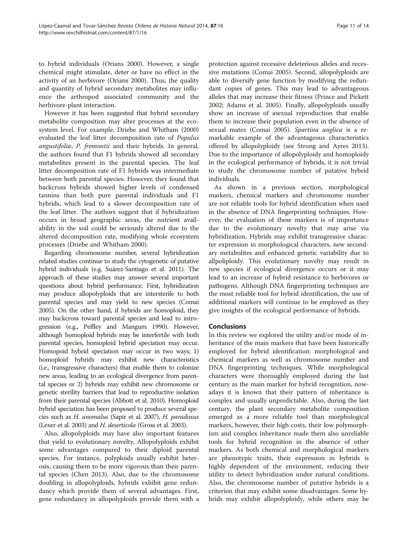to hybrid individuals (Orians [2000\)](#page-12-0). However, a single chemical might stimulate, deter or have no effect in the activity of an herbivore (Orians [2000\)](#page-12-0). Thus, the quality and quantity of hybrid secondary metabolites may influence the arthropod associated community and the herbivore-plant interaction.

However it has been suggested that hybrid secondary metabolite composition may alter processes at the ecosystem level. For example, Driebe and Whitham ([2000](#page-11-0)) evaluated the leaf litter decomposition rate of Populus angustifolia, P. fremontii and their hybrids. In general, the authors found that F1 hybrids showed all secondary metabolites present in the parental species. The leaf litter decomposition rate of F1 hybrids was intermediate between both parental species. However, they found that backcross hybrids showed higher levels of condensed tannins than both pure parental individuals and F1 hybrids, which lead to a slower decomposition rate of the leaf litter. The authors suggest that if hybridization occurs in broad geographic areas, the nutrient availability in the soil could be seriously altered due to the altered decomposition rate, modifying whole ecosystem processes (Driebe and Whitham [2000\)](#page-11-0).

Regarding chromosome number, several hybridization related studies continue to study the cytogenetic of putative hybrid individuals (e.g. Suárez-Santiago et al. [2011](#page-13-0)). The approach of these studies may answer several important questions about hybrid performance. First, hybridization may produce allopolyploids that are intersterile to both parental species and may yield to new species (Comai [2005\)](#page-11-0). On the other hand, if hybrids are homoploid, they may backcross toward parental species and lead to introgression (e.g., Peffley and Mangum [1990\)](#page-12-0). However, although homoploid hybrids may be interfertile with both parental species, homoploid hybrid speciation may occur. Homopoid hybrid speciation may occur in two ways; 1) homoploid hybrids may exhibit new characteristics (i.e., transgressive characters) that enable them to colonize new areas, leading to an ecological divergence from parental species or 2) hybrids may exhibit new chromosome or genetic sterility barriers that lead to reproductive isolation from their parental species (Abbott et al. [2010\)](#page-11-0). Homoploid hybrid speciation has been proposed to produce several species such as H. anomalus (Sapir et al. [2007\)](#page-13-0), H. paradoxus (Lexer et al. [2003](#page-12-0)) and H. deserticola (Gross et al. [2003\)](#page-12-0).

Also, allopolyploids may have also important features that yield to evolutionary novelty. Allopolyploids exhibit some advantages compared to their diploid parental species. For instance, polyploids usually exhibit heterosis, causing them to be more vigorous than their parental species (Chen [2013](#page-11-0)). Also, due to the chromosome doubling in allopolyploids, hybrids exhibit gene redundancy which provide them of several advantages. First, gene redundancy in allopolyploids provide them with a

protection against recessive deleterious alleles and recessive mutations (Comai [2005\)](#page-11-0). Second, allopolyploids are able to diversify gene function by modifying the redundant copies of genes. This may lead to advantageous alleles that may increase their fitness (Prince and Pickett [2002](#page-12-0); Adams et al. [2005](#page-11-0)). Finally, allopolyploids usually show an increase of asexual reproduction that enable them to increase their population even in the absence of sexual mates (Comai [2005\)](#page-11-0). Spartina anglica is a remarkable example of the advantageous characteristics offered by allopolyploidy (see Strong and Ayres [2013](#page-13-0)). Due to the importance of allopolyploidy and homoploidy in the ecological performance of hybrids, it is not trivial to study the chromosome number of putative hybrid individuals.

As shown in a previous section, morphological markers, chemical markers and chromosome number are not reliable tools for hybrid identification when used in the absence of DNA fingerprinting techniques. However, the evaluation of these markers is of importance due to the evolutionary novelty that may arise via hybridization. Hybrids may exhibit transgressive character expression in morphological characters, new secondary metabolites and enhanced genetic variability due to allpoliploidy. This evolutionary novelty may result in new species if ecological divergence occurs or it may lead to an increase of hybrid resistance to herbivores or pathogens. Although DNA fingerprinting techniques are the most reliable tool for hybrid identification, the use of additional markers will continue to be employed as they give insights of the ecological performance of hybrids.

# Conclusions

In this review we explored the utility and/or mode of inheritance of the main markers that have been historically employed for hybrid identification: morphological and chemical markers as well as chromosome number and DNA fingerprinting techniques. While morphological characters were thoroughly employed during the last century as the main marker for hybrid recognition, nowadays it is known that their pattern of inheritance is complex and usually unpredictable. Also, during the last century, the plant secondary metabolite composition emerged as a more reliable tool than morphological markers, however, their high costs, their low polymorphism and complex inheritance made them also unreliable tools for hybrid recognition in the absence of other markers. As both chemical and morphological markers are phenotypic traits, their expression in hybrids is highly dependent of the environment, reducing their utility to detect hybridization under natural conditions. Also, the chromosome number of putative hybrids is a criterion that may exhibit some disadvantages. Some hybrids may exhibit allopolyploidy, while others may be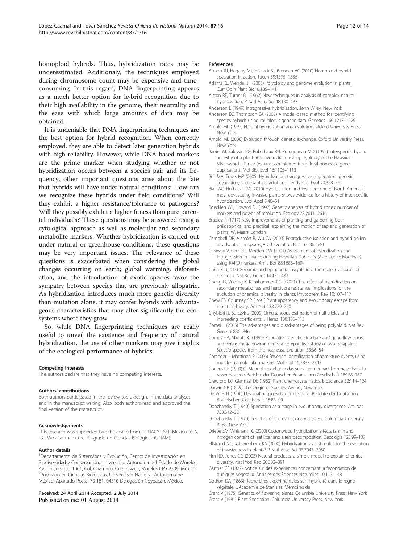<span id="page-11-0"></span>homoploid hybrids. Thus, hybridization rates may be underestimated. Additionaly, the techniques employed during chromosome count may be expensive and timeconsuming. In this regard, DNA fingerprinting appears as a much better option for hybrid recognition due to their high availability in the genome, their neutrality and the ease with which large amounts of data may be obtained.

It is undeniable that DNA fingerprinting techniques are the best option for hybrid recognition. When correctly employed, they are able to detect later generation hybrids with high reliability. However, while DNA-based markers are the prime marker when studying whether or not hybridization occurs between a species pair and its frequency, other important questions arise about the fate that hybrids will have under natural conditions: How can we recognize these hybrids under field conditions? Will they exhibit a higher resistance/tolerance to pathogens? Will they possibly exhibit a higher fitness than pure parental individuals? These questions may be answered using a cytological approach as well as molecular and secondary metabolite markers. Whether hybridization is carried out under natural or greenhouse conditions, these questions may be very important issues. The relevance of these questions is exacerbated when considering the global changes occurring on earth; global warming, deforestation, and the introduction of exotic species favor the sympatry between species that are previously allopatric. As hybridization introduces much more genetic diversity than mutation alone, it may confer hybrids with advantageous characteristics that may alter significantly the ecosystems where they grow.

So, while DNA fingerprinting techniques are really useful to unveil the existence and frequency of natural hybridization, the use of other markers may give insights of the ecological performance of hybrids.

#### Competing interests

The authors declare that they have no competing interests.

#### Authors' contributions

Both authors participated in the review topic design, in the data analyses and in the manuscript writing. Also, both authors read and approved the final version of the manuscript.

#### Acknowledgements

This research was supported by scholarship from CONACYT-SEP Mexico to A. L.C. We also thank the Posgrado en Ciencias Biológicas (UNAM).

#### Author details

1 Departamento de Sistemática y Evolución, Centro de Investigación en Biodiversidad y Conservación, Universidad Autónoma del Estado de Morelos, Av. Universidad 1001, Col. Chamilpa, Cuernavaca, Morelos CP 62209, México. 2 Posgrado en Ciencias Biológicas, Universidad Nacional Autónoma de México, Apartado Postal 70-181, 04510 Delegación Coyoacán, México.

#### Received: 24 April 2014 Accepted: 2 July 2014 Published online: 01 August 2014

#### References

- Abbott RJ, Hegarty MJ, Hiscock SJ, Brennan AC (2010) Homoploid hybrid speciation in action. Taxon 59:1375–1386
- Adams KL, Wendel JF (2005) Polyploidy and genome evolution in plants. Curr Opin Plant Biol 8:135–141
- Alston RE, Turner BL (1962) New techniques in analysis of complex natural hybridization. P Natl Acad Sci 48:130–137
- Anderson E (1949) Introgressive hybridization. John Wiley, New York Anderson EC, Thompson EA (2002) A model-based method for identifying
- species hybrids using multilocus genetic data. Genetics 160:1217–1229 Arnold ML (1997) Natural hybridization and evolution. Oxford University Press,
- New York
- Arnold ML (2006) Evolution through genetic exchange. Oxford University Press, New York
- Barrier M, Baldwin BG, Robichaux RH, Purugganan MD (1999) Interspecific hybrid ancestry of a plant adaptive radiation: allopolyploidy of the Hawaiian Silversword alliance (Asteraceae) inferred from floral homeotic gene duplications. Mol Biol Evol 16:1105–1113
- Bell MA, Travis MP (2005) Hybridization, transgressive segregation, genetic covariation, and adaptive radiation. Trends Ecol Evol 20:358–361
- Blair AC, Hufbauer RA (2010) Hybridization and invasion: one of North America's most devastating invasive plants shows evidence for a history of interspecific hybridization. Evol Appl 3:40–51
- Boecklen WJ, Howard DJ (1997) Genetic analysis of hybrid zones: number of markers and power of resolution. Ecology 78:2611–2616
- Bradley R (1717) New Improvements of planting and gardening both philosophical and practical, explaining the motion of sap and generation of plants. W. Mears, London
- Campbell DR, Alarcón R, Wu CA (2003) Reproductive isolation and hybrid pollen disadvantage in Ipomopsis. J Evolution Biol 16:536–540
- Caraway V, Carr GD, Morden CW (2001) Assessment of hybridization and introgression in lava-colonizing Hawaiian Dubautia (Asteraceae: Madiinae) using RAPD markers. Am J Bot 88:1688–1694
- Chen ZJ (2013) Genomic and epigenetic insights into the molecular bases of heterosis. Nat Rev Genet 14:471–482
- Cheng D, Vrieling K, Klinkhammer PGL (2011) The effect of hybridization on secondary metabolites and herbivore resistance: Implications for the evolution of chemical diversity in plants. Phytochem Rev 10:107–117
- Chew FS, Courtney SP (1991) Plant apparency and evolutionary escape from insect herbivory. Am Nat 138:729–750
- Chybicki IJ, Burczyk J (2009) Simultaneous estimation of null alleles and inbreeding coefficients. J Hered 100:106–113
- Comai L (2005) The advantages and disadvantages of being polyploid. Nat Rev Genet 6:836–846
- Comes HP, Abbott RJ (1999) Population genetic structure and gene flow across arid versus mesic environments: a comparative study of two parapatric Senecio species from the near east. Evolution 53:36–54
- Corander J, Marttinen P (2006) Bayesian identification of admixture events using multilocus molecular markers. Mol Ecol 15:2833–2843
- Correns CE (1900) G. Mendel's regel über das verhalten der nachkommenschaft der rassenbastarde. Berichte der Deutschen Botanischen Gesellschaft 18:158–167
- Crawford DJ, Giannasi DE (1982) Plant chemosystematics. BioScience 32:114–124 Darwin CR (1859) The Origin of Species. Avenel, New York
- De Vries H (1900) Das spaltungsgesetz der bastarde. Berichte der Deutschen Botanischen Gelellschaft 18:83–90
- Dobzhansky T (1940) Speciation as a stage in evolutionary divergence. Am Nat 753:312–321
- Dobzhansky T (1970) Genetics of the evolutionary process. Columbia University Press, New York
- Driebe EM, Whitham TG (2000) Cottonwood hybridization affects tannin and nitrogen content of leaf litter and alters decomposition. Oecologia 123:99–107
- Ellstrand NC, Schierenbeck KA (2000) Hybridization as a stimulus for the evolution of invasiveness in plants? P Natl Acad Sci 97:7043–7050
- Firn RD, Jones CG (2003) Natural products–a simple model to explain chemical diversity. Nat Prod Rep 20:382–391
- Gärtner CF (1827) Notice sur des experiences concernant la fecondation de quelques vegetaux. Annales des Sciences Naturelles 10:113–148
- Godron DA (1863) Recherches experimentales sur l'hybridité dans le regne végétale. L'Académie de Stanislas, Mémoires de
- Grant V (1975) Genetics of flowering plants. Columbia University Press, New York Grant V (1981) Plant Speciation. Columbia University Press, New York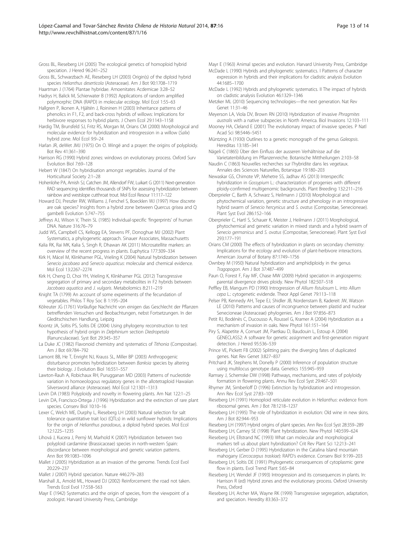<span id="page-12-0"></span>Gross BL, Rieseberg LH (2005) The ecological genetics of homoploid hybrid speciation. J Hered 96:241–252

- Gross BL, Schwarzbach AE, Rieseberg LH (2003) Origin(s) of the diploid hybrid species Helianthus deserticola (Asteraceae). Am J Bot 90:1708–1719
- Haartman J (1764) Plantae hybridae. Amoenitates Acdemicae 3:28–52 Hadrys H, Balick M, Schierwater B (1992) Applications of random amplified

polymorphic DNA (RAPD) in molecular ecology. Mol Ecol 1:55–63 Hallgren P, Ikonen A, Hjältén J, Roininen H (2003) Inheritance patterns of phenolics in F1, F2, and back-cross hybrids of willows: Implications for

herbivore responses to hybrid plants. J Chem Ecol 29:1143–1158 Hardig TM, Brunsfeld SJ, Fritz RS, Morgan M, Orians CM (2000) Morphological and molecular evidence for hybridization and introgression in a willow (Salix) hybrid zone. Mol Ecol 9:9–24

Harlan JR, deWet JMJ (1975) On O. Wingë and a prayer: the origins of polyploidy. Bot Rev 41:361–390

Harrison RG (1990) Hybrid zones: windows on evolutionary process. Oxford Surv Evolution Biol 7:69–128

Hebert W (1847) On hybridisation amongst vegetables. Journal of the Horticultural Society 2:1–28

Hohenlohe PA, Amish SJ, Catchen JM, Allendorf FW, Luikart G (2011) Next-generation RAD sequencing identifies thousands of SNPs for assessing hybridization between rainbow and westslope cutthroat trout. Mol Ecol Resour 11:117–122

Howard DJ, Preszler RW, Williams J, Fenchel S, Boecklen WJ (1997) How discrete are oak species? Insights from a hybrid zone between Quercus grisea and Q gambelli Evolution 5:747–755

- Jeffreys AJ, Wilson V, Thein SL (1985) Individual-specific 'fingerprints' of human DNA. Nature 316:76–79
- Judd WS, Campbell CS, Kellogg EA, Stevens PF, Donoghue MJ (2002) Plant Systematics, a phylogenetic approach. Sinauer Associates, Massachusetts

Kalia RK, Rai MK, Kalia S, Singh R, Dhawan AK (2011) Microsatellite markers: an overview of the recent progress in plants. Euphytica 177:309–334

Kirk H, Mácel M, Klinkhamer PGL, Vrieling K (2004) Natural hybridization between Senecio jacobaea and Senecio aquaticus: molecular and chemical evidence. Mol Ecol 13:2267–2274

Kirk H, Cheng D, Choi YH, Vrieling K, Klinkhamer PGL (2012) Transgressive segregation of primary and secondary metabolites in F2 hybrids between Jacobaea aquatica and J. vulgaris. Metabolomics 8:211–219

Knight TA (1799) An account of some experiments of the fecundation of vegetables. Philos T Roy Soc B 1:195–204

Kölreuter JG (1761) Vorläufige Nachricht von einigen das Geschlecht der Pflanzen betreffenden Versuchen und Beobachtungen, nebst Fortsetzungen. In der Gleditschischen Handlung, Leipzig

Koontz JA, Soltis PS, Soltis DE (2004) Using phylogeny reconstruction to test hypothesis of hybrid origin in Delphinium section Diedropetala (Ranunculaceae). Syst Bot 29:345–357

La Duke JC (1982) Flavonoid chemistry and systematics of Tithonia (Compositae). Am J Bot 69:784–792

Lamont BB, He T, Enright NJ, Krauss SL, Miller BP (2003) Anthropogenic disturbance promotes hybridization between Banksia species by altering their biology. J Evolution Biol 16:551–557

Lawton-Rauh A, Robichaux RH, Purugganan MD (2003) Patterns of nucleotide variation in homoeologous regulatory genes in the allotetraploid Hawaiian Silversword alliance (Asteraceae). Mol Ecol 12:1301–1313

Levin DA (1983) Polyploidy and novelty in flowering plants. Am Nat 122:1–25

Levin DA, Francisco-Ortega J (1996) Hybridization and the extinction of rare plant species. Conserv Biol 10:10–16

Lexer C, Welch ME, Durphy L, Rieseberg LH (2003) Natural selection for salt tolerance quantitative trait loci (QTLs) in wild sunflower hybrids: Implications for the origin of Helianthus paradoxus, a diploid hybrid species. Mol Ecol 12:1225–1235

Lihová J, Kucera J, Perný M, Marhold K (2007) Hybridization between two polyploid cardamine (Brassicaceae) species in north-western Spain: discordance between morphological and genetic variation patterns. Ann Bot 99:1083–1096

Mallet J (2005) Hybridization as an invasion of the genome. Trends Ecol Evol 20:229–237

Mallet J (2007) Hybrid speciation. Nature 446:279–283

Marshall JL, Arnold ML, Howard DJ (2002) Reinforcement: the road not taken. Trends Ecol Evol 17:558–563

Mayr E (1942) Systematics and the origin of species, from the viewpoint of a zoologist. Harvard University Press, Cambridge

Mayr E (1963) Animal species and evolution. Harvard University Press, Cambridge McDade L (1990) Hybrids and phylogenetic systematics. I Patterns of character expression in hybrids and their implications for cladistic analysis Evolution

44:1685–1700 McDade L (1992) Hybrids and phylogenetic systematics. II The impact of hybrids on cladistic analysis Evolution 46:1329–1346

Metzker ML (2010) Sequencing technologies—the next generation. Nat Rev Genet 11:31–46

Meyerson LA, Viola DV, Brown RN (2010) Hybridization of invasive Phragmites australis with a native subspecies in North America. Biol Invasions 12:103–111

Mooney HA, Cleland E (2001) The evolutionary impact of invasive species. P Natl Acad Sci 98:5446–5451

Müntzing A (1930) Outlines to a genetic monograph of the genus Galeopsis. Hereditas 13:185–341

Nägeli C (1865) Über den Einfluss der ausseren Verhältnisse auf die Varietatenbildung im Pflanzenreiche. Botanische Mittheilungen 2:103–58

Naudin C (1863) Nouvelles recherches sur l'hybridite dans les vegetaux. Annales des Sciences Naturelles, Botanique 19:180–203

Newaskar GS, Chimote VP, Mehetre SS, Jadhav AS (2013) Interspecific hybridization in Gossypium L.: characterization of progenies with different ploidy-confirmed multigenomic backgrounds. Plant Breeding 132:211–216

Oberprieler C, Barth A, Schwarz S, Heilmann J (2010) Morphological and phytochemical variation, genetic structure and phenology in an introgressive hybrid swarm of Senecio hercynicus and S. ovatus (Compositae, Senecioneae). Plant Syst Evol 286:152–166

Oberprieler C, Hartl S, Schauer K, Meister J, Heilmann J (2011) Morphological, phytochemical and genetic variation in mixed stands and a hybrid swarm of Senecio germanicus and S. ovatus (Compositae, Senecioneae). Plant Syst Evol 293:177–191

Orians CM (2000) The effects of hybridization in plants on secondary chemistry: Implications for the ecology and evolution of plant-herbivore interactions. American Journal of Botany 87:1749–1756

Ownbey M (1950) Natural hybridization and amphidiploidy in the genus Tragopogon. Am J Bot 37:487–499

Paun O, Forest F, Fay MF, Chase MW (2009) Hybrid speciation in angiosperms: parental divergence drives ploidy. New Phytol 182:507–518

Peffley EB, Mangum PD (1990) Introgression of Allium fistulosum L. into Allium cepa L.: cytogenetic evidende. Theor Appl Genet 79:113–118

Pelser PB, Kennedy AH, Tepe EJ, Shidler JB, Nordenstam B, Kadereit JW, Watson LE (2010) Patterns and causes of incongruence between plastid and nuclear Senecioneae (Asteraceae) phylogenies. Am J Bot 97:856–873

Petit RJ, Bodénès C, Ducousso A, Roussel G, Kramer A (2004) Hybridization as a mechanism of invasion in oaks. New Phytol 161:151–164

Piry S, Alapetite A, Cornuet JM, Paetkau D, Baudouin L, Estoup A (2004) GENECLASS2: A software for genetic assignment and first-generation migrant detection. J Hered 95:536–539

Prince VE, Pickett FB (2002) Splitting pairs: the diverging fates of duplicated genes. Nat Rev Genet 3:827–837

Pritchard JK, Stephens M, Donelly P (2000) Inference of population structure using multilocus genotype data. Genetics 155:945–959

Ramsey J, Schemske DW (1998) Pathways, mechanisms, and rates of polyloidy formation in flowering plants. Annu Rev Ecol Syst 29:467–501

Rhymer JM, Simberloff D (1996) Extinction by hybridization and introgression. Ann Rev Ecol Syst 27:83–109

Rieseberg LH (1991) Homoploid reticulate evolution in Helianthus: evidence from ribosomal genes. Am J Bot 78:1218–1237

Rieseberg LH (1995) The role of hybridization in evolution: Old wine in new skins. Am J Bot 82:944–953

Rieseberg LH (1997) Hybrid origins of plant species. Ann Rev Ecol Syst 28:359–289

Rieseberg LH, Carney SE (1998) Plant hybridization. New Phytol 140:599–624 Rieseberg LH, Ellstrand NC (1993) What can molecular and morphological

markers tell us about plant hybridization? Crit Rev Plant Sci 12:213–241 Rieseberg LH, Gerber D (1995) Hybridization in the Catalina Island mountain

mahogany (Cercocarpus traskiae): RAPD's evidence. Conserv Biol 9:199–203 Rieseberg LH, Soltis DE (1991) Phylogenetic consequences of cytoplasmic gene

flow in plants. Evol Trend Plant 5:65–84

Rieseberg LH, Wendel JF (1993) Introgression and its consequences in plants. In: Harrison R (ed) Hybrid zones and the evolutionary process. Oxford University Press, Oxford

Rieseberg LH, Archer MA, Wayne RK (1999) Transgressive segregation, adaptation, and speciation. Heredity 83:363–372